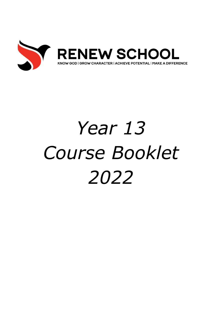

# *Year 13 Course Booklet 2022*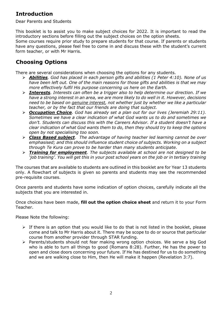## **Introduction**

Dear Parents and Students

This booklet is to assist you to make subject choices for 2022. It is important to read the introductory sections before filling out the subject choices on the option sheets.

Some courses require prior study to prepare students for that course. If parents or students have any questions, please feel free to come in and discuss these with the student's current form teacher, or with Mr Harris.

# **Choosing Options**

There are several considerations when choosing the options for any students.

- ➢ *Abilities. God has placed in each person gifts and abilities (1 Peter 4:10). None of us have been left out. One of the main reasons for those gifts and abilities is that we may more effectively fulfil His purpose concerning us here on the Earth.*
- ➢ *Interests. Interests can often be a trigger also to help determine our direction. If we have a strong interest in an area, we are more likely to do well in it. However, decisions need to be based on genuine interest, not whether just by whether we like a particular teacher, or by the fact that our friends are doing that subject.*
- ➢ *Occupation Choice. God has already set a plan out for our lives (Jeremiah 29:11). Sometimes we have a clear indication of what God wants us to do and sometimes we don't. Students can discuss this with the Careers Advisor. If a student doesn't have a clear indication of what God wants them to do, then they should try to keep the options open by not specialising too soon.*
- ➢ *Class Based subject. The advantage of having teacher led learning cannot be over emphasised; and this should influence student choice of subjects. Working on a subject through Te Kura can prove to be harder than many students anticipate.*
- ➢ *Training for employment. The subjects available at school are not designed to be 'job training'. You will get this in your post school years on the job or in tertiary training*

The courses that are available to students are outlined in this booklet are for Year 13 students only. A flowchart of subjects is given so parents and students may see the recommended pre-requisite courses.

Once parents and students have some indication of option choices, carefully indicate all the subjects that you are interested in.

Once choices have been made, **fill out the option choice sheet** and return it to your Form Teacher.

Please Note the following:

- $\triangleright$  If there is an option that you would like to do that is not listed in the booklet, please come and talk to Mr Harris about it. There may be scope to do or source that particular course from another provider through STAR funding.
- ➢ Parents/students should not fear making wrong option choices. We serve a big God who is able to turn all things to good (Romans 8:28). Further, He has the power to open and close doors concerning your future. If He has destined for us to do something and we are walking close to Him, then He will make it happen (Revelation 3:7).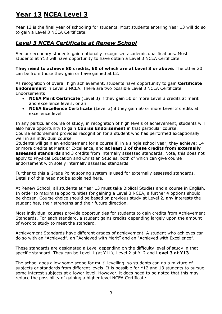# **Year 13 NCEA Level 3**

Year 13 is the final year of schooling for students. Most students entering Year 13 will do so to gain a Level 3 NCEA Certificate.

## *Level 3 NCEA Certificate at Renew School*

Senior secondary students gain nationally recognised academic qualifications. Most students at Y13 will have opportunity to have obtain a Level 3 NCEA Certificate.

**They need to achieve 80 credits, 60 of which are at Level 3 or above**. The other 20 can be from those they gain or have gained at L2.

As recognition of overall high achievement, students have opportunity to gain **Certificate Endorsement** in Level 3 NCEA. There are two possible Level 3 NCEA Certificate Endorsements:

- **NCEA Merit Certificate** (Level 3) if they gain 50 or more Level 3 credits at merit and excellence levels, or an
- **NCEA Excellence Certificate** (Level 3) if they gain 50 or more Level 3 credits at excellence level.

In any particular course of study, in recognition of high levels of achievement, students will also have opportunity to gain **Course Endorsement** in that particular course. Course endorsement provides recognition for a student who has performed exceptionally well in an individual course.

Students will gain an endorsement for a course if, in a single school year, they achieve: 14 or more credits at Merit or Excellence, and **at least 3 of these credits from externally assessed standards** and 3 credits from internally assessed standards. Note, this does not apply to Physical Education and Christian Studies, both of which can give course endorsement with solely internally assessed standards.

Further to this a Grade Point scoring system is used for externally assessed standards. Details of this need not be explained here.

At Renew School, all students at Year 13 must take Biblical Studies and a course in English. In order to maximise opportunities for gaining a Level 3 NCEA, a further 4 options should be chosen. Course choice should be based on previous study at Level 2, any interests the student has, their strengths and their future direction.

Most individual courses provide opportunities for students to gain credits from Achievement Standards. For each standard, a student gains credits depending largely upon the amount of work to study to meet the standard.

Achievement Standards have different grades of achievement. A student who achieves can do so with an "Achieved", an "Achieved with Merit" and an "Achieved with Excellence".

These standards are designated a Level depending on the difficulty level of study in that specific standard. They can be Level 1 (at Y11); Level 2 at Y12 and **Level 3 at Y13**.

The school does allow some scope for multi-levelling, so students can do a mixture of subjects or standards from different levels. It is possible for Y12 and 13 students to pursue some interest subjects at a lower level. However, it does need to be noted that this may reduce the possibility of gaining a higher level NCEA Certificate.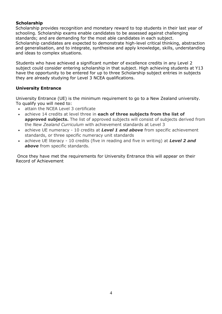#### **Scholarship**

Scholarship provides recognition and monetary reward to top students in their last year of schooling. Scholarship exams enable candidates to be assessed against challenging standards; and are demanding for the most able candidates in each subject. Scholarship candidates are expected to demonstrate high-level critical thinking, abstraction and generalisation, and to integrate, synthesise and apply knowledge, skills, understanding and ideas to complex situations.

Students who have achieved a significant number of excellence credits in any Level 2 subject could consider entering scholarship in that subject. High achieving students at Y13 have the opportunity to be entered for up to three Scholarship subject entries in subjects they are already studying for Level 3 NCEA qualifications.

#### **University Entrance**

University Entrance (UE) is the minimum requirement to go to a New Zealand university. To qualify you will need to:

- attain the NCEA Level 3 certificate
- achieve 14 credits at level three in **each of three subjects from the list of approved subjects.** The list of approved subjects will consist of subjects derived from the *New Zealand Curriculum* with achievement standards at Level 3
- achieve UE numeracy 10 credits at *Level 1 and above* from specific achievement standards, or three specific numeracy unit standards
- achieve UE literacy 10 credits (five in reading and five in writing) at *Level 2 and above* from specific standards.

Once they have met the requirements for University Entrance this will appear on their Record of Achievement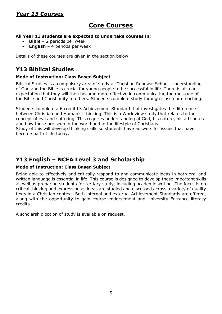# *Year 13 Courses*

# **Core Courses**

#### **All Year 13 students are expected to undertake courses in:**

- **Bible** 2 periods per week
- **English** 4 periods per week

Details of these courses are given in the section below.

## **Y13 Biblical Studies**

#### **Mode of Instruction: Class Based Subject**

Biblical Studies is a compulsory area of study at Christian Renewal School. Understanding of God and the Bible is crucial for young people to be successful in life. There is also an expectation that they will then become more effective in communicating the message of the Bible and Christianity to others. Students complete study through classroom teaching.

Students complete a 6 credit L3 Achievement Standard that investigates the difference between Christian and Humanist thinking. This is a Worldview study that relates to the concept of evil and suffering. This requires understanding of God, his nature, his attributes and how these are seen in the world and in the lifestyle of Christians.

Study of this will develop thinking skills so students have answers for issues that have become part of life today.

### **Y13 English – NCEA Level 3 and Scholarship**

#### **Mode of Instruction: Class Based Subject**

Being able to effectively and critically respond to and communicate ideas in both oral and written language is essential in life. This course is designed to develop these important skills as well as preparing students for tertiary study, including academic writing. The focus is on critical thinking and expression as ideas are studied and discussed across a variety of quality texts in a Christian context. Both internal and external Achievement Standards are offered, along with the opportunity to gain course endorsement and University Entrance literacy credits.

A scholarship option of study is available on request.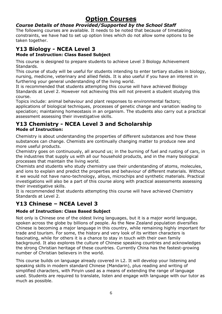# **Option Courses**

#### *Course Details of those Provided/Supported by the School Staff*

The following courses are available. It needs to be noted that because of timetabling constraints, we have had to set up option lines which do not allow some options to be taken together.

# **Y13 Biology - NCEA Level 3**

#### **Mode of Instruction: Class Based Subject**

This course is designed to prepare students to achieve Level 3 Biology Achievement Standards.

This course of study will be useful for students intending to enter tertiary studies in biology, nursing, medicine, veterinary and allied fields. It is also useful if you have an interest in furthering your general understanding of the living world.

It is recommended that students attempting this course will have achieved Biology Standards at Level 2. However not achieving this will not prevent a student studying this course.

Topics include: animal behaviour and plant responses to environmental factors;

applications of biological techniques, processes of genetic change and variation leading to speciation; maintaining homeostasis in an organism. The students also carry out a practical assessment assessing their investigative skills.

#### **Y13 Chemistry - NCEA Level 3 and Scholarship Mode of Instruction:**

Chemistry is about understanding the properties of different substances and how these substances can change. Chemists are continually changing matter to produce new and more useful products.

Chemistry goes on continuously, all around us; in the burning of fuel and rusting of cars, in the industries that supply us with all our household products, and in the many biological processes that maintain the living world.

Chemists and students who study chemistry use their understanding of atoms, molecules, and ions to explain and predict the properties and behaviour of different materials. Without it we would not have nano-technology, alloys, microchips and synthetic materials. Practical investigations will also be a part of this course along with practical assessments assessing their investigative skills.

It is recommended that students attempting this course will have achieved Chemistry Standards at Level 2.

# **Y13 Chinese – NCEA Level 3**

#### **Mode of Instruction: Class Based Subject**

Not only is Chinese one of the oldest living languages, but it is a major world language, spoken across the globe by billions of people. As the New Zealand population diversifies Chinese is becoming a major language in this country, while remaining highly important for trade and tourism. For some, the history and very look of its written characters is fascinating, while for others it is a chance to stay in touch with their own family background. It also explores the culture of Chinese speaking countries and acknowledges the strong Christian heritage of these countries. Currently China has the fastest-growing number of Christian believers in the world.

This course builds on language already covered in L2. It will develop your listening and speaking skills in modern standard Chinese (Mandarin), plus reading and writing of simplified characters, with Pinyin used as a means of extending the range of language used. Students are required to translate, listen and engage with language with our tutor as much as possible.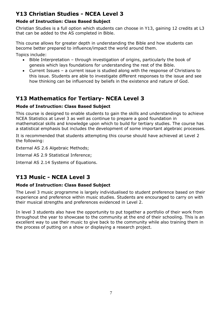# **Y13 Christian Studies - NCEA Level 3**

#### **Mode of Instruction: Class Based Subject**

Christian Studies is a full option which students can choose in Y13, gaining 12 credits at L3 that can be added to the AS completed in Bible.

This course allows for greater depth in understanding the Bible and how students can become better prepared to influence/impact the world around them.

Topics include:

- Bible Interpretation through investigation of origins, particularly the book of genesis which lays foundations for understanding the rest of the Bible.
- Current Issues a current issue is studied along with the response of Christians to this issue. Students are able to investigate different responses to the issue and see how thinking can be influenced by beliefs in the existence and nature of God.

# **Y13 Mathematics for Tertiary- NCEA Level 3**

#### **Mode of Instruction: Class Based Subject**

This course is designed to enable students to gain the skills and understandings to achieve NCEA Statistics at Level 3 as well as continue to prepare a good foundation in mathematical skills and knowledge upon which to build for tertiary studies. The course has a statistical emphasis but includes the development of some important algebraic processes.

It is recommended that students attempting this course should have achieved at Level 2 the following:

External AS 2.6 Algebraic Methods;

Internal AS 2.9 Statistical Inference;

Internal AS 2.14 Systems of Equations.

# **Y13 Music - NCEA Level 3**

#### **Mode of Instruction: Class Based Subject**

The Level 3 music programme is largely individualised to student preference based on their experience and preference within music studies. Students are encouraged to carry on with their musical strengths and preferences evidenced in Level 2.

In level 3 students also have the opportunity to put together a portfolio of their work from throughout the year to showcase to the community at the end of their schooling. This is an excellent way to use their music to give back to the community while also training them in the process of putting on a show or displaying a research project.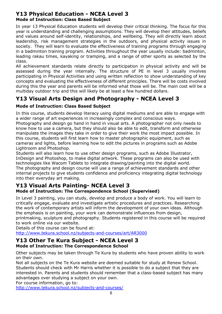#### **Y13 Physical Education - NCEA Level 3 Mode of Instruction: Class Based Subject**

In year 13 Physical Education students will develop their critical thinking. The focus for this year is understanding and challenging assumptions. They will develop their attitudes, beliefs and values around self-identity, relationships, and wellbeing. They will directly learn about leadership, risk management strategies in the outdoors, and physical activity issues in society. They will learn to evaluate the effectiveness of training programs through engaging in a badminton training program. Activities throughout the year usually include: badminton, leading rakau times, kayaking or tramping, and a range of other sports as selected by the class.

All achievement standards relate directly to participation in physical activity and will be assessed during the year internally. The structure of PE in level 3 usually involves participating in Physical Activities and using written reflection to show understanding of key concepts and evaluating the effectiveness of different principles. There will be costs involved during this the year and parents will be informed what those will be. The main cost will be a multiday outdoor trip and this will likely be at least a few hundred dollars.

# **Y13 Visual Arts Design and Photography - NCEA Level 3**

#### **Mode of Instruction: Class Based Subject**

In this course, students develop literacy using digital mediums and are able to engage with a wider range of art experiences in increasingly complex and conscious ways.

Photography and design go hand in hand in visual arts. A photographer not only needs to know how to use a camera, but they should also be able to edit, transform and otherwise manipulate the images they take in order to give their work the most impact possible. In this course, students will first learn how to master photographic equipment, such as cameras and lights, before learning how to edit the pictures in programs such as Adobe Lightroom and Photoshop.

Students will also learn how to use other design programs, such as Adobe Illustrator, InDesign and Photoshop, to make digital artwork. These programs can also be used with technologies like Wacom Tablets to integrate drawing/painting into the digital world. The photography and design course will use a range of achievement standards and other internal projects to give students confidence and proficiency integrating digital technology into their everyday art making.

#### **Y13 Visual Arts Painting- NCEA Level 3 Mode of Instruction: The Correspondence School (Supervised)**

In Level 3 painting, you can study, develop and produce a body of work. You will learn to critically engage, evaluate and investigate artistic procedures and practices. Researching the work of contemporary artists will inform the development of your own ideas. Although the emphasis is on painting, your work can demonstrate influences from design,

printmaking, sculpture and photography. Students registered in this course will be required to work online via our website.

Details of this course can be found at:

<http://www.tekura.school.nz/subjects-and-courses/art/AR3000>

#### **Y13 Other Te Kura Subject - NCEA Level 3 Mode of Instruction: The Correspondence School**

Other subjects may be taken through Te Kura by students who have proven ability to work on their own.

Not all subjects on the Te Kura website are deemed suitable for study at Renew School. Students should check with Mr Harris whether it is possible to do a subject that they are interested in. Parents and students should remember that a class-based subject has many advantages over studying a subject on your own.

For course information, go to:

<http://www.tekura.school.nz/subjects-and-courses/>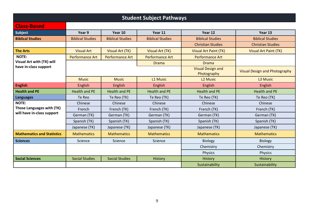| <b>Student Subject Pathways</b>                                         |                         |                         |                         |                                         |                                      |  |  |  |
|-------------------------------------------------------------------------|-------------------------|-------------------------|-------------------------|-----------------------------------------|--------------------------------------|--|--|--|
| <b>Class-Based</b>                                                      |                         |                         |                         |                                         |                                      |  |  |  |
| <b>Subject</b>                                                          | Year 9                  | Year 10                 | Year 11                 | Year 12                                 | Year 13                              |  |  |  |
| <b>Biblical Studies</b>                                                 | <b>Biblical Studies</b> | <b>Biblical Studies</b> | <b>Biblical Studies</b> | <b>Biblical Studies</b>                 | <b>Biblical Studies</b>              |  |  |  |
|                                                                         |                         |                         |                         | <b>Christian Studies</b>                | <b>Christian Studies</b>             |  |  |  |
| <b>The Arts</b>                                                         | <b>Visual Art</b>       | <b>Visual Art (TK)</b>  | Visual Art (TK)         | <b>Visual Art Paint (TK)</b>            | <b>Visual Art Paint (TK)</b>         |  |  |  |
| <b>NOTE:</b>                                                            | <b>Performance Art</b>  | <b>Performance Art</b>  | <b>Performance Art</b>  | <b>Performance Art</b>                  |                                      |  |  |  |
| Visual Art with (TK) will                                               |                         |                         | <b>Drama</b>            | <b>Drama</b>                            |                                      |  |  |  |
| have in-class support                                                   |                         |                         |                         | <b>Visual Design and</b><br>Photography | <b>Visual Design and Photography</b> |  |  |  |
|                                                                         | <b>Music</b>            | <b>Music</b>            | L1 Music                | L <sub>2</sub> Music                    | L <sub>3</sub> Music                 |  |  |  |
| <b>English</b>                                                          | English                 | English                 | English                 | <b>English</b>                          | English                              |  |  |  |
| <b>Health and PE</b>                                                    | <b>Health and PE</b>    | <b>Health and PE</b>    | <b>Health and PE</b>    | <b>Health and PE</b>                    | <b>Health and PE</b>                 |  |  |  |
| <b>Languages</b>                                                        | Te Reo                  | Te Reo (TK)             | Te Reo (TK)             | Te Reo (TK)                             | Te Reo (TK)                          |  |  |  |
| <b>NOTE:</b><br>Those Languages with (TK)<br>will have in-class support | Chinese                 | Chinese                 | Chinese                 | Chinese                                 | Chinese                              |  |  |  |
|                                                                         | French                  | French (TK)             | French (TK)             | French (TK)                             | French (TK)                          |  |  |  |
|                                                                         | German (TK)             | German (TK)             | German (TK)             | German (TK)                             | German (TK)                          |  |  |  |
|                                                                         | Spanish (TK)            | Spanish (TK)            | Spanish (TK)            | Spanish (TK)                            | Spanish (TK)                         |  |  |  |
|                                                                         | Japanese (TK)           | Japanese (TK)           | Japanese (TK)           | Japanese (TK)                           | Japanese (TK)                        |  |  |  |
| <b>Mathematics and Statistics</b>                                       | <b>Mathematics</b>      | <b>Mathematics</b>      | <b>Mathematics</b>      | <b>Mathematics</b>                      | <b>Mathematics</b>                   |  |  |  |
| <b>Sciences</b>                                                         | Science                 | Science                 | Science                 | <b>Biology</b>                          | <b>Biology</b>                       |  |  |  |
|                                                                         |                         |                         | Chemistry               | Chemistry                               |                                      |  |  |  |
|                                                                         |                         |                         |                         | <b>Physics</b>                          | <b>Physics</b>                       |  |  |  |
| <b>Social Sciences</b>                                                  | <b>Social Studies</b>   | <b>Social Studies</b>   | <b>History</b>          | History                                 | History                              |  |  |  |
|                                                                         |                         |                         |                         | Sustainability                          | Sustainability                       |  |  |  |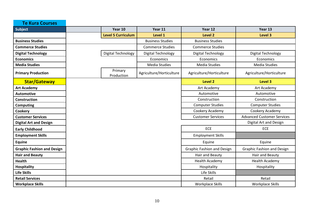| <b>Te Kura Courses</b>            |                           |                          |                                   |                                   |  |
|-----------------------------------|---------------------------|--------------------------|-----------------------------------|-----------------------------------|--|
| Subject                           | Year 10                   | Year 11                  | Year 12                           | Year 13                           |  |
|                                   | <b>Level 5 Curriculum</b> | Level 1                  | Level 2                           | Level 3                           |  |
| <b>Business Studies</b>           |                           | <b>Business Studies</b>  | <b>Business Studies</b>           |                                   |  |
| <b>Commerce Studies</b>           |                           | <b>Commerce Studies</b>  | <b>Commerce Studies</b>           |                                   |  |
| <b>Digital Technology</b>         | Digital Technology        | Digital Technology       | Digital Technology                | Digital Technology                |  |
| <b>Economics</b>                  |                           | Economics                | Economics                         | Economics                         |  |
| <b>Media Studies</b>              |                           | <b>Media Studies</b>     | <b>Media Studies</b>              | Media Studies                     |  |
| <b>Primary Production</b>         | Primary<br>Production     | Agriculture/Horticulture | Agriculture/Horticulture          | Agriculture/Horticulture          |  |
| <b>Star/Gateway</b>               |                           |                          | <b>Level 2</b>                    | <b>Level 3</b>                    |  |
| <b>Art Academy</b>                |                           |                          | Art Academy                       | Art Academy                       |  |
| <b>Automotive</b>                 |                           |                          | Automotive                        | Automotive                        |  |
| <b>Construction</b>               |                           |                          | Construction                      | Construction                      |  |
| <b>Computing</b>                  |                           |                          | <b>Computer Studies</b>           | <b>Computer Studies</b>           |  |
| Cookery                           |                           |                          | Cookery Academy                   | Cookery Academy                   |  |
| <b>Customer Services</b>          |                           |                          | <b>Customer Services</b>          | <b>Advanced Customer Services</b> |  |
| <b>Digital Art and Design</b>     |                           |                          |                                   | Digital Art and Design            |  |
| <b>Early Childhood</b>            |                           |                          | <b>ECE</b>                        | <b>ECE</b>                        |  |
| <b>Employment Skills</b>          |                           |                          | <b>Employment Skills</b>          |                                   |  |
| <b>Equine</b>                     |                           |                          | Equine                            | Equine                            |  |
| <b>Graphic Fashion and Design</b> |                           |                          | <b>Graphic Fashion and Design</b> | <b>Graphic Fashion and Design</b> |  |
| <b>Hair and Beauty</b>            |                           |                          | Hair and Beauty                   | Hair and Beauty                   |  |
| <b>Health</b>                     |                           |                          | <b>Health Academy</b>             | <b>Health Academy</b>             |  |
| <b>Hospitality</b>                |                           |                          | Hospitality                       | Hospitality                       |  |
| <b>Life Skills</b>                |                           |                          | Life Skills                       |                                   |  |
| <b>Retail Services</b>            |                           |                          | Retail                            | Retail                            |  |
| <b>Workplace Skills</b>           |                           |                          | <b>Workplace Skills</b>           | <b>Workplace Skills</b>           |  |